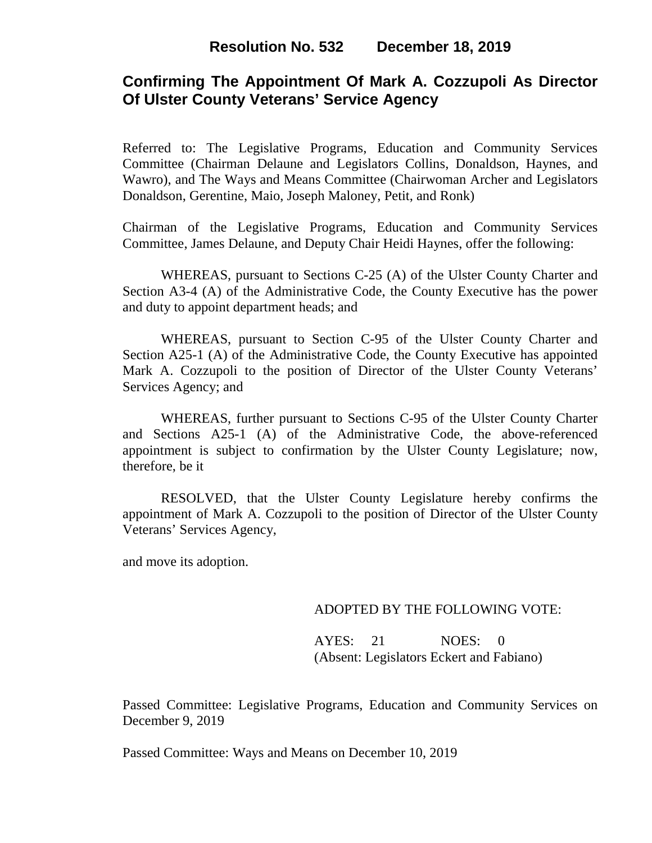# **Confirming The Appointment Of Mark A. Cozzupoli As Director Of Ulster County Veterans' Service Agency**

Referred to: The Legislative Programs, Education and Community Services Committee (Chairman Delaune and Legislators Collins, Donaldson, Haynes, and Wawro), and The Ways and Means Committee (Chairwoman Archer and Legislators Donaldson, Gerentine, Maio, Joseph Maloney, Petit, and Ronk)

Chairman of the Legislative Programs, Education and Community Services Committee, James Delaune, and Deputy Chair Heidi Haynes, offer the following:

WHEREAS, pursuant to Sections C-25 (A) of the Ulster County Charter and Section A3-4 (A) of the Administrative Code, the County Executive has the power and duty to appoint department heads; and

WHEREAS, pursuant to Section C-95 of the Ulster County Charter and Section A25-1 (A) of the Administrative Code, the County Executive has appointed Mark A. Cozzupoli to the position of Director of the Ulster County Veterans' Services Agency; and

WHEREAS, further pursuant to Sections C-95 of the Ulster County Charter and Sections A25-1 (A) of the Administrative Code, the above-referenced appointment is subject to confirmation by the Ulster County Legislature; now, therefore, be it

RESOLVED, that the Ulster County Legislature hereby confirms the appointment of Mark A. Cozzupoli to the position of Director of the Ulster County Veterans' Services Agency,

and move its adoption.

### ADOPTED BY THE FOLLOWING VOTE:

AYES: 21 NOES: 0 (Absent: Legislators Eckert and Fabiano)

Passed Committee: Legislative Programs, Education and Community Services on December 9, 2019

Passed Committee: Ways and Means on December 10, 2019